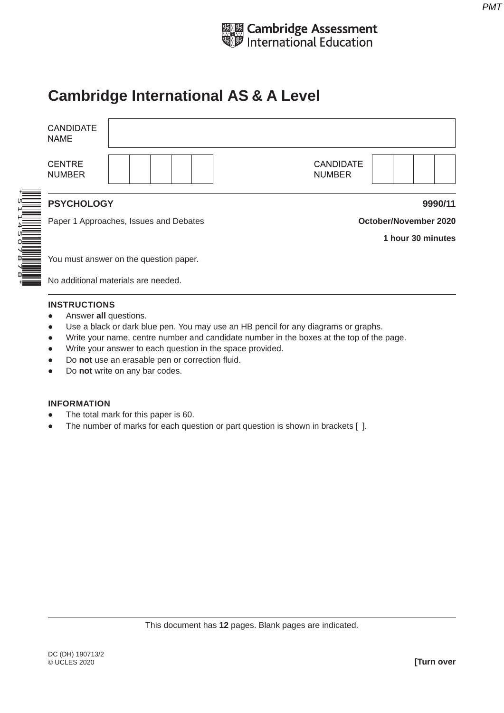

# **Cambridge International AS & A Level**

| <b>CANDIDATE</b><br><b>NAME</b> |                                        |                                   |                       |
|---------------------------------|----------------------------------------|-----------------------------------|-----------------------|
| <b>CENTRE</b><br><b>NUMBER</b>  |                                        | <b>CANDIDATE</b><br><b>NUMBER</b> |                       |
| <b>PSYCHOLOGY</b>               |                                        |                                   | 9990/11               |
|                                 | Paper 1 Approaches, Issues and Debates |                                   | October/November 2020 |
|                                 |                                        |                                   | 1 hour 30 minutes     |
|                                 | You must answer on the question paper. |                                   |                       |
|                                 | No additional materials are needed.    |                                   |                       |

No additional materials are needed.

#### **INSTRUCTIONS**

- **•** Answer all questions.
- Use a black or dark blue pen. You may use an HB pencil for any diagrams or graphs.
- Write your name, centre number and candidate number in the boxes at the top of the page.
- Write your answer to each question in the space provided.
- Do **not** use an erasable pen or correction fluid.
- Do **not** write on any bar codes.

#### **INFORMATION**

- The total mark for this paper is 60.
- The number of marks for each question or part question is shown in brackets [ ].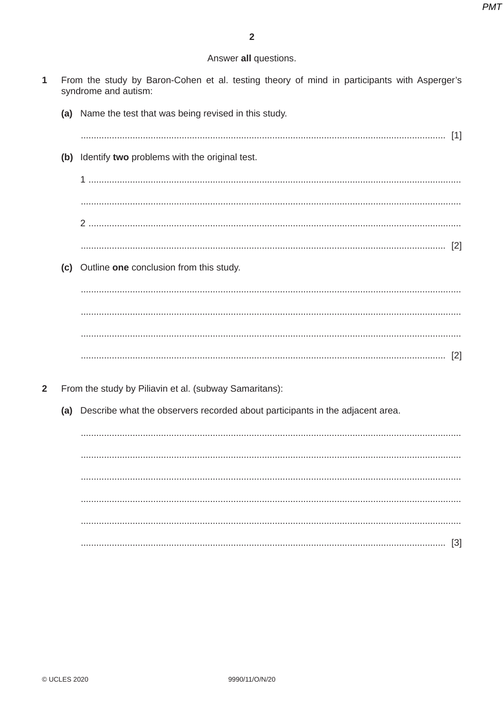## Answer all questions.

- 1 From the study by Baron-Cohen et al. testing theory of mind in participants with Asperger's syndrome and autism:
- (a) Name the test that was being revised in this study. (b) Identify two problems with the original test. (c) Outline one conclusion from this study.  $\overline{2}$ From the study by Piliavin et al. (subway Samaritans): (a) Describe what the observers recorded about participants in the adjacent area.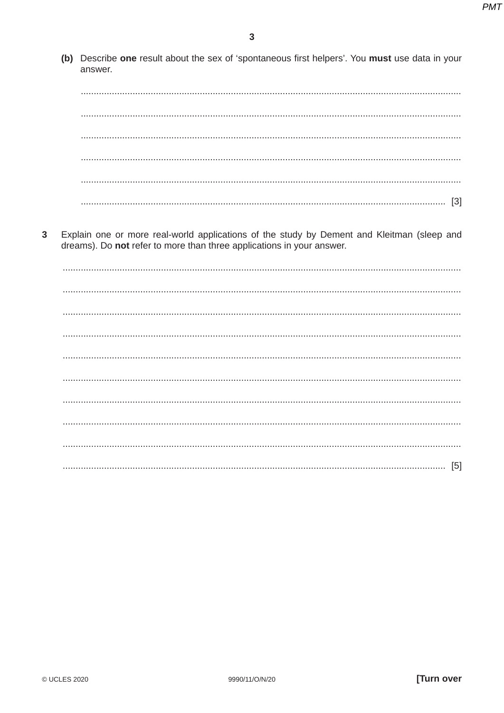(b) Describe one result about the sex of 'spontaneous first helpers'. You must use data in your answer.

 $\overline{3}$ Explain one or more real-world applications of the study by Dement and Kleitman (sleep and dreams). Do not refer to more than three applications in your answer.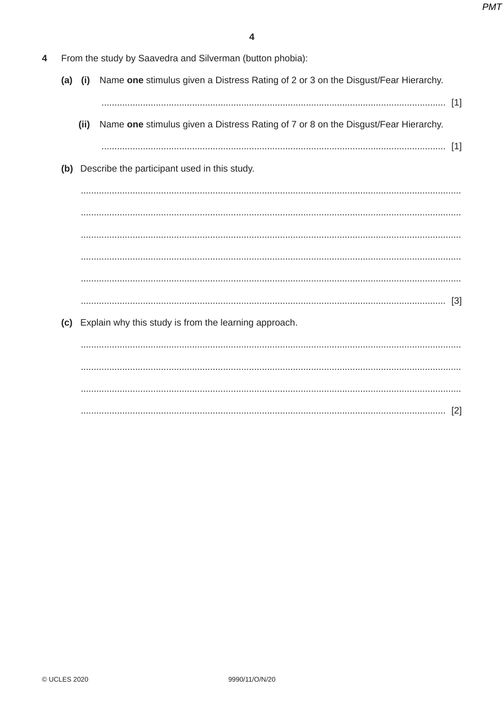| 4 From the study by Saavedra and Silverman (button phobia): |  |  |
|-------------------------------------------------------------|--|--|
|                                                             |  |  |

- (a) (i) Name one stimulus given a Distress Rating of 2 or 3 on the Disgust/Fear Hierarchy.
	-
	- (ii) Name one stimulus given a Distress Rating of 7 or 8 on the Disgust/Fear Hierarchy.
		-
- (b) Describe the participant used in this study.

(c) Explain why this study is from the learning approach.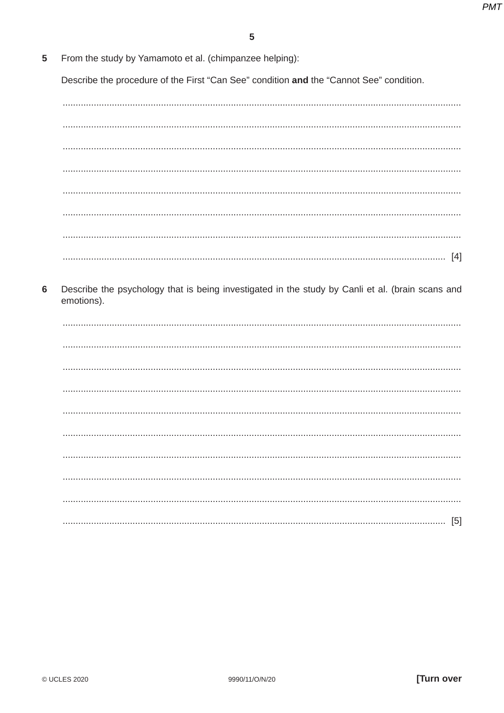5 From the study by Yamamoto et al. (chimpanzee helping):

Describe the procedure of the First "Can See" condition and the "Cannot See" condition.

Describe the psychology that is being investigated in the study by Canli et al. (brain scans and 6 emotions).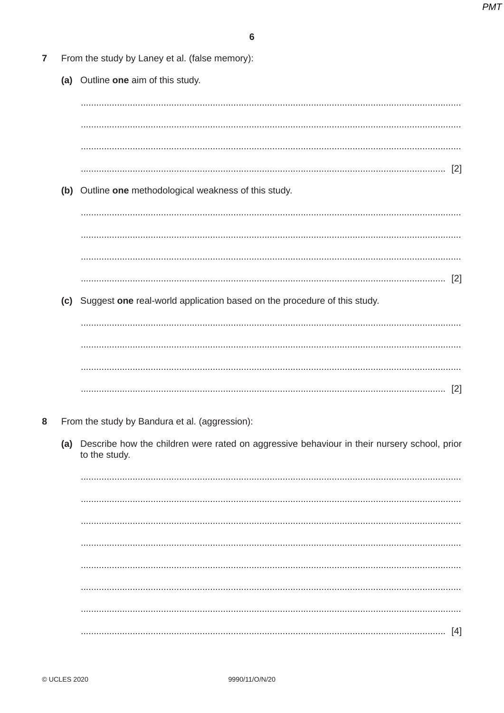| $\overline{\mathbf{r}}$ |     | From the study by Laney et al. (false memory):                                                                   |  |  |  |
|-------------------------|-----|------------------------------------------------------------------------------------------------------------------|--|--|--|
|                         |     | (a) Outline one aim of this study.                                                                               |  |  |  |
|                         |     |                                                                                                                  |  |  |  |
|                         |     |                                                                                                                  |  |  |  |
|                         | (b) | Outline one methodological weakness of this study.                                                               |  |  |  |
|                         |     |                                                                                                                  |  |  |  |
|                         |     |                                                                                                                  |  |  |  |
|                         | (c) | $[2]$<br>Suggest one real-world application based on the procedure of this study.                                |  |  |  |
|                         |     |                                                                                                                  |  |  |  |
|                         |     |                                                                                                                  |  |  |  |
|                         |     |                                                                                                                  |  |  |  |
| 8                       |     | From the study by Bandura et al. (aggression):                                                                   |  |  |  |
|                         |     | (a) Describe how the children were rated on aggressive behaviour in their nursery school, prior<br>to the study. |  |  |  |
|                         |     |                                                                                                                  |  |  |  |
|                         |     |                                                                                                                  |  |  |  |
|                         |     |                                                                                                                  |  |  |  |
|                         |     |                                                                                                                  |  |  |  |
|                         |     |                                                                                                                  |  |  |  |
|                         |     |                                                                                                                  |  |  |  |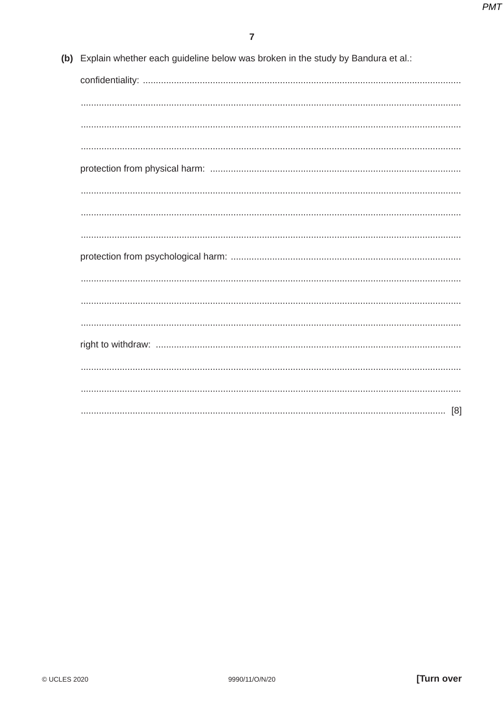| (b) Explain whether each guideline below was broken in the study by Bandura et al.: |  |  |  |  |
|-------------------------------------------------------------------------------------|--|--|--|--|
|                                                                                     |  |  |  |  |
|                                                                                     |  |  |  |  |
|                                                                                     |  |  |  |  |
|                                                                                     |  |  |  |  |
|                                                                                     |  |  |  |  |
|                                                                                     |  |  |  |  |
|                                                                                     |  |  |  |  |
|                                                                                     |  |  |  |  |
|                                                                                     |  |  |  |  |
|                                                                                     |  |  |  |  |
|                                                                                     |  |  |  |  |
|                                                                                     |  |  |  |  |
|                                                                                     |  |  |  |  |
|                                                                                     |  |  |  |  |
|                                                                                     |  |  |  |  |
|                                                                                     |  |  |  |  |
|                                                                                     |  |  |  |  |
|                                                                                     |  |  |  |  |
|                                                                                     |  |  |  |  |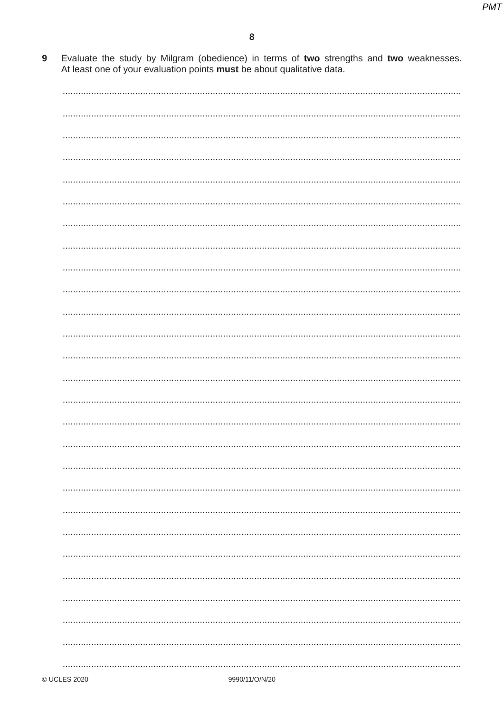Evaluate the study by Milgram (obedience) in terms of two strengths and two weaknesses.<br>At least one of your evaluation points must be about qualitative data.  $9$ 

| <b>ES 2020</b> | $9990/11/0$ /N/20 |
|----------------|-------------------|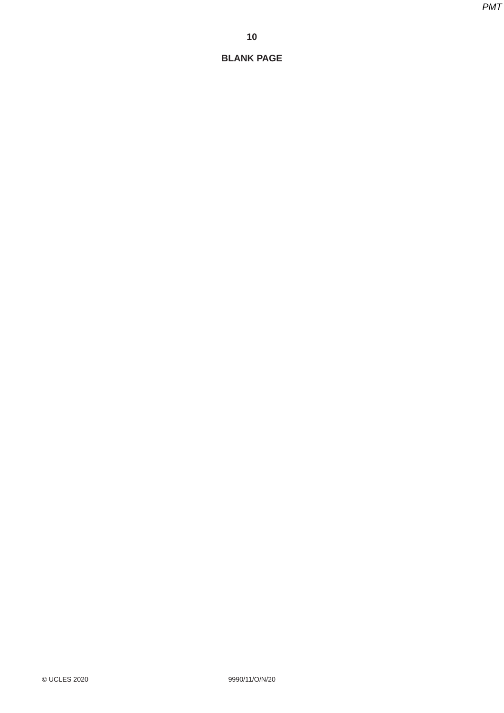# $10$

# **BLANK PAGE**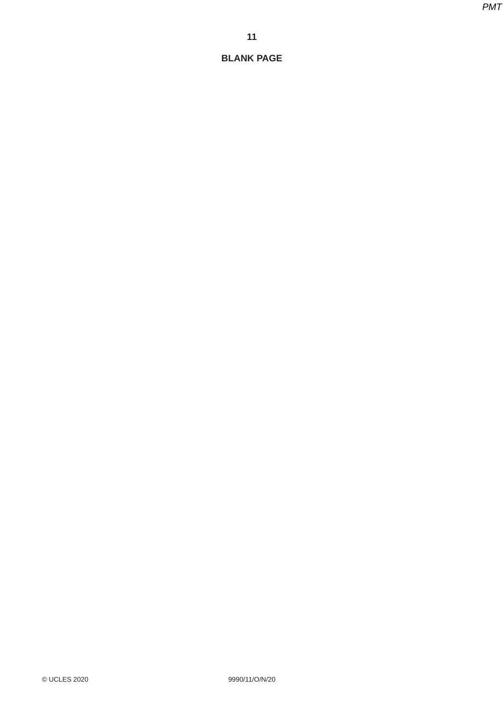# $11$

## **BLANK PAGE**